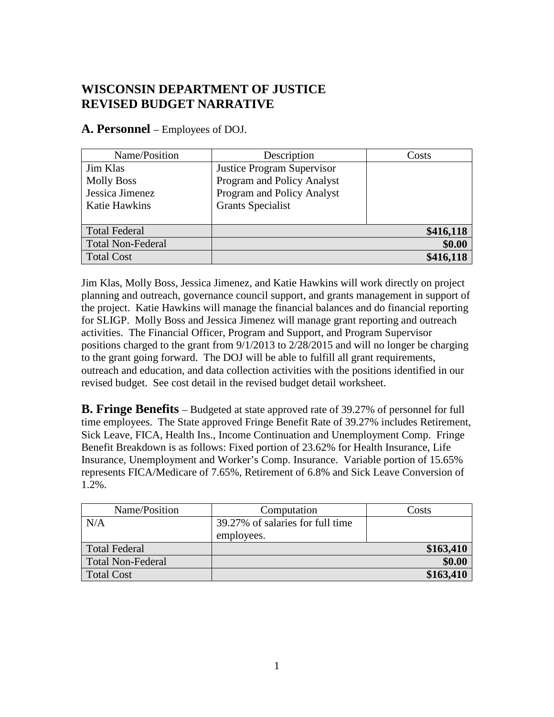## **WISCONSIN DEPARTMENT OF JUSTICE REVISED BUDGET NARRATIVE**

**A. Personnel** – Employees of DOJ.

| Name/Position            | Description                       | Costs     |
|--------------------------|-----------------------------------|-----------|
| Jim Klas                 | <b>Justice Program Supervisor</b> |           |
| <b>Molly Boss</b>        | Program and Policy Analyst        |           |
| Jessica Jimenez          | Program and Policy Analyst        |           |
| <b>Katie Hawkins</b>     | <b>Grants Specialist</b>          |           |
|                          |                                   |           |
| <b>Total Federal</b>     |                                   | \$416,118 |
| <b>Total Non-Federal</b> |                                   | \$0.00    |
| Total Cost               |                                   | \$416,118 |

Jim Klas, Molly Boss, Jessica Jimenez, and Katie Hawkins will work directly on project planning and outreach, governance council support, and grants management in support of the project. Katie Hawkins will manage the financial balances and do financial reporting for SLIGP. Molly Boss and Jessica Jimenez will manage grant reporting and outreach activities. The Financial Officer, Program and Support, and Program Supervisor positions charged to the grant from 9/1/2013 to 2/28/2015 and will no longer be charging to the grant going forward. The DOJ will be able to fulfill all grant requirements, outreach and education, and data collection activities with the positions identified in our revised budget. See cost detail in the revised budget detail worksheet.

**B. Fringe Benefits** – Budgeted at state approved rate of 39.27% of personnel for full time employees. The State approved Fringe Benefit Rate of 39.27% includes Retirement, Sick Leave, FICA, Health Ins., Income Continuation and Unemployment Comp. Fringe Benefit Breakdown is as follows: Fixed portion of 23.62% for Health Insurance, Life Insurance, Unemployment and Worker's Comp. Insurance. Variable portion of 15.65% represents FICA/Medicare of 7.65%, Retirement of 6.8% and Sick Leave Conversion of 1.2%.

| Name/Position            | Computation                      | Costs     |
|--------------------------|----------------------------------|-----------|
| N/A                      | 39.27% of salaries for full time |           |
|                          | employees.                       |           |
| <b>Total Federal</b>     |                                  | \$163,410 |
| <b>Total Non-Federal</b> |                                  | \$0.00    |
| <b>Total Cost</b>        |                                  | \$163,410 |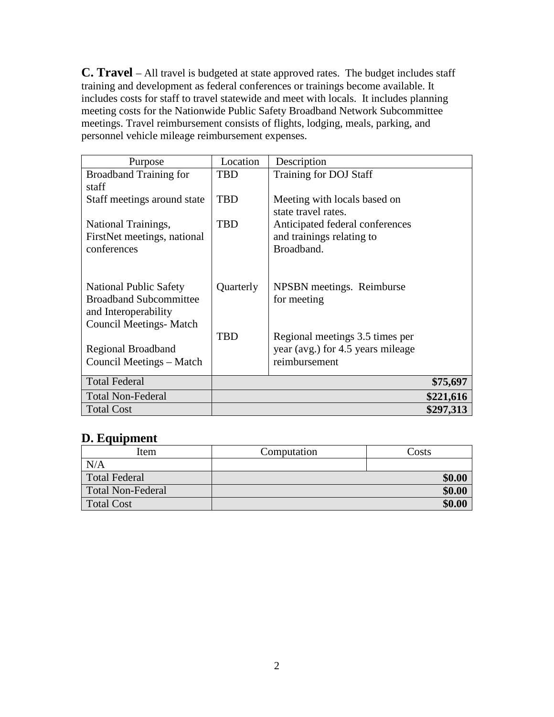**C. Travel** – All travel is budgeted at state approved rates. The budget includes staff training and development as federal conferences or trainings become available. It includes costs for staff to travel statewide and meet with locals. It includes planning meeting costs for the Nationwide Public Safety Broadband Network Subcommittee meetings. Travel reimbursement consists of flights, lodging, meals, parking, and personnel vehicle mileage reimbursement expenses.

| Purpose                                                        | Location   | Description                              |           |
|----------------------------------------------------------------|------------|------------------------------------------|-----------|
| <b>Broadband Training for</b>                                  | <b>TBD</b> | Training for DOJ Staff                   |           |
| staff                                                          |            |                                          |           |
| Staff meetings around state                                    | <b>TBD</b> | Meeting with locals based on             |           |
|                                                                |            | state travel rates.                      |           |
| National Trainings,                                            | TBD        | Anticipated federal conferences          |           |
| FirstNet meetings, national                                    |            | and trainings relating to                |           |
| conferences                                                    |            | Broadband.                               |           |
|                                                                |            |                                          |           |
|                                                                |            |                                          |           |
| <b>National Public Safety</b><br><b>Broadband Subcommittee</b> | Quarterly  | NPSBN meetings. Reimburse<br>for meeting |           |
| and Interoperability                                           |            |                                          |           |
| <b>Council Meetings- Match</b>                                 |            |                                          |           |
|                                                                | <b>TBD</b> | Regional meetings 3.5 times per          |           |
| Regional Broadband                                             |            | year (avg.) for 4.5 years mileage        |           |
| Council Meetings – Match                                       |            | reimbursement                            |           |
|                                                                |            |                                          |           |
| <b>Total Federal</b>                                           |            |                                          | \$75,697  |
| <b>Total Non-Federal</b>                                       |            |                                          | \$221,616 |
| <b>Total Cost</b>                                              |            |                                          | \$297,313 |

### **D. Equipment**

| Item                 | Computation | Costs  |
|----------------------|-------------|--------|
| N/A                  |             |        |
| <b>Total Federal</b> |             | \$0.00 |
| Total Non-Federal    |             | \$0.00 |
| <b>Total Cost</b>    |             | \$0.00 |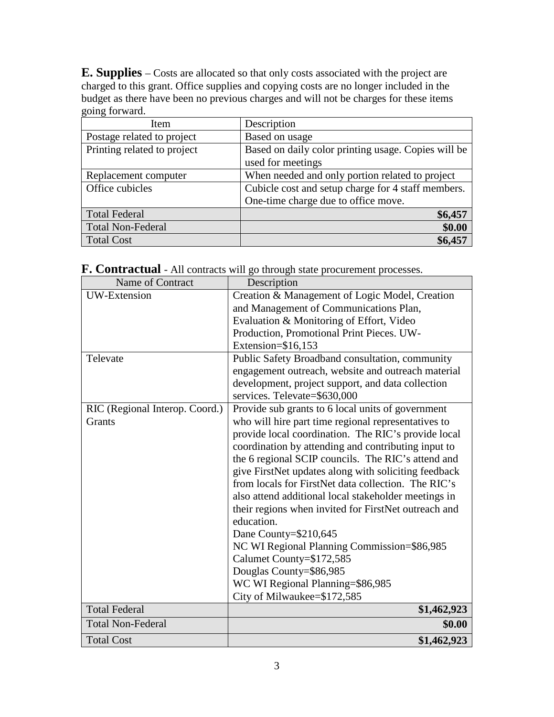**E. Supplies** – Costs are allocated so that only costs associated with the project are charged to this grant. Office supplies and copying costs are no longer included in the budget as there have been no previous charges and will not be charges for these items going forward.

| Description                                         |
|-----------------------------------------------------|
| Based on usage                                      |
| Based on daily color printing usage. Copies will be |
| used for meetings                                   |
| When needed and only portion related to project     |
| Cubicle cost and setup charge for 4 staff members.  |
| One-time charge due to office move.                 |
| \$6,457                                             |
| \$0.00                                              |
| \$6,457                                             |
|                                                     |

**F. Contractual** - All contracts will go through state procurement processes.

| Name of Contract               | Description                                          |
|--------------------------------|------------------------------------------------------|
| <b>UW-Extension</b>            | Creation & Management of Logic Model, Creation       |
|                                | and Management of Communications Plan,               |
|                                | Evaluation & Monitoring of Effort, Video             |
|                                | Production, Promotional Print Pieces. UW-            |
|                                | Extension=\$16,153                                   |
| Televate                       | Public Safety Broadband consultation, community      |
|                                | engagement outreach, website and outreach material   |
|                                | development, project support, and data collection    |
|                                | services. Televate=\$630,000                         |
| RIC (Regional Interop. Coord.) | Provide sub grants to 6 local units of government    |
| <b>Grants</b>                  | who will hire part time regional representatives to  |
|                                | provide local coordination. The RIC's provide local  |
|                                | coordination by attending and contributing input to  |
|                                | the 6 regional SCIP councils. The RIC's attend and   |
|                                | give FirstNet updates along with soliciting feedback |
|                                | from locals for FirstNet data collection. The RIC's  |
|                                | also attend additional local stakeholder meetings in |
|                                | their regions when invited for FirstNet outreach and |
|                                | education.                                           |
|                                | Dane County=\$210,645                                |
|                                | NC WI Regional Planning Commission=\$86,985          |
|                                | Calumet County=\$172,585                             |
|                                | Douglas County=\$86,985                              |
|                                | WC WI Regional Planning=\$86,985                     |
|                                | City of Milwaukee=\$172,585                          |
| <b>Total Federal</b>           | \$1,462,923                                          |
| <b>Total Non-Federal</b>       | \$0.00                                               |
| <b>Total Cost</b>              | \$1,462,923                                          |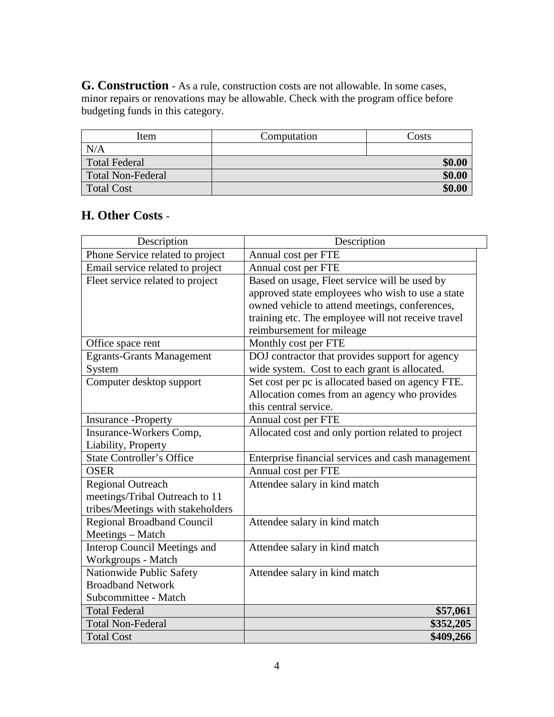**G. Construction** - As a rule, construction costs are not allowable. In some cases, minor repairs or renovations may be allowable. Check with the program office before budgeting funds in this category.

| Item                     | Computation | Costs  |
|--------------------------|-------------|--------|
| N/A                      |             |        |
| <b>Total Federal</b>     |             | \$0.00 |
| <b>Total Non-Federal</b> |             | \$0.00 |
| Total Cost               |             | \$0.00 |

## **H. Other Costs** -

| Description                         | Description                                        |
|-------------------------------------|----------------------------------------------------|
| Phone Service related to project    | Annual cost per FTE                                |
| Email service related to project    | Annual cost per FTE                                |
| Fleet service related to project    | Based on usage, Fleet service will be used by      |
|                                     | approved state employees who wish to use a state   |
|                                     | owned vehicle to attend meetings, conferences,     |
|                                     | training etc. The employee will not receive travel |
|                                     | reimbursement for mileage                          |
| Office space rent                   | Monthly cost per FTE                               |
| <b>Egrants-Grants Management</b>    | DOJ contractor that provides support for agency    |
| System                              | wide system. Cost to each grant is allocated.      |
| Computer desktop support            | Set cost per pc is allocated based on agency FTE.  |
|                                     | Allocation comes from an agency who provides       |
|                                     | this central service.                              |
| <b>Insurance</b> - Property         | Annual cost per FTE                                |
| Insurance-Workers Comp,             | Allocated cost and only portion related to project |
| Liability, Property                 |                                                    |
| <b>State Controller's Office</b>    | Enterprise financial services and cash management  |
| <b>OSER</b>                         | Annual cost per FTE                                |
| <b>Regional Outreach</b>            | Attendee salary in kind match                      |
| meetings/Tribal Outreach to 11      |                                                    |
| tribes/Meetings with stakeholders   |                                                    |
| Regional Broadband Council          | Attendee salary in kind match                      |
| Meetings – Match                    |                                                    |
| <b>Interop Council Meetings and</b> | Attendee salary in kind match                      |
| Workgroups - Match                  |                                                    |
| Nationwide Public Safety            | Attendee salary in kind match                      |
| <b>Broadband Network</b>            |                                                    |
| Subcommittee - Match                |                                                    |
| <b>Total Federal</b>                | \$57,061                                           |
| <b>Total Non-Federal</b>            | \$352,205                                          |
| <b>Total Cost</b>                   | \$409,266                                          |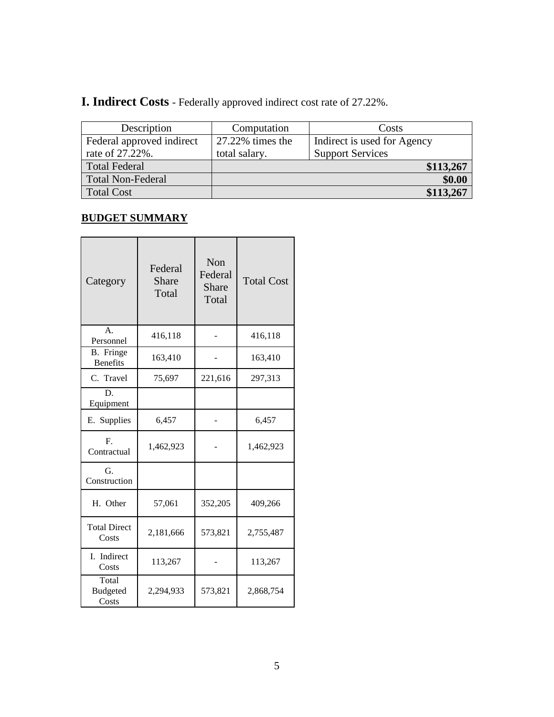# **I. Indirect Costs** - Federally approved indirect cost rate of 27.22%.

| Description               | Computation      | Costs                       |
|---------------------------|------------------|-----------------------------|
| Federal approved indirect | 27.22% times the | Indirect is used for Agency |
| rate of 27.22%.           | total salary.    | <b>Support Services</b>     |
| <b>Total Federal</b>      |                  | \$113,267                   |
| <b>Total Non-Federal</b>  |                  | \$0.00                      |
| <b>Total Cost</b>         |                  | \$113,267                   |

## **BUDGET SUMMARY**

| Category                                  | Federal<br><b>Share</b><br>Total | Non<br>Federal<br><b>Share</b><br>Total | <b>Total Cost</b> |  |  |  |
|-------------------------------------------|----------------------------------|-----------------------------------------|-------------------|--|--|--|
| $\mathbf{A}$ .<br>Personnel               | 416,118                          |                                         | 416,118           |  |  |  |
| B. Fringe<br><b>Benefits</b>              | 163,410                          |                                         | 163,410           |  |  |  |
| C. Travel                                 | 75,697                           | 221,616                                 | 297,313           |  |  |  |
| D.<br>Equipment                           |                                  |                                         |                   |  |  |  |
| E. Supplies                               | 6,457                            |                                         | 6,457             |  |  |  |
| $\mathbf{F}$ .<br>Contractual             | 1,462,923                        |                                         | 1,462,923         |  |  |  |
| G.<br>Construction                        |                                  |                                         |                   |  |  |  |
| H. Other                                  | 57,061                           | 352,205                                 | 409,266           |  |  |  |
| <b>Total Direct</b><br>2,181,666<br>Costs |                                  | 573,821                                 | 2,755,487         |  |  |  |
| I. Indirect<br>Costs                      | 113,267                          |                                         | 113,267           |  |  |  |
| Total<br><b>Budgeted</b><br>Costs         | 2,294,933                        | 573,821                                 | 2,868,754         |  |  |  |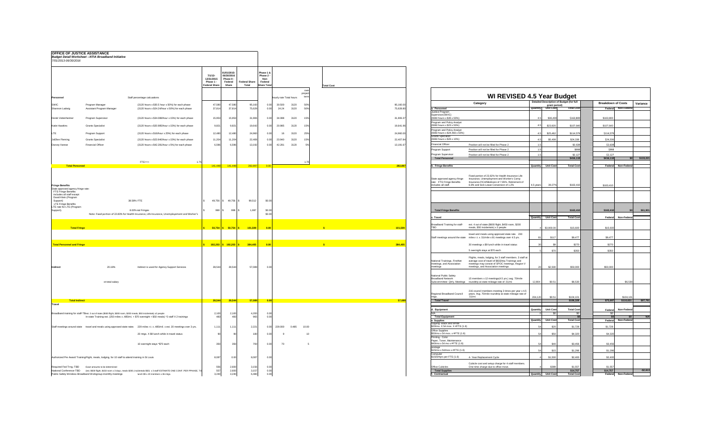| 7/01/2013-06/30/2016                                                                                                                                                                                                                                                                                 | <b>OFFICE OF JUSTICE ASSISTANCE</b><br><b>Budget Detail Worksheet --NTIA Broadband Initiative</b>                       |                                                                                                                                                                                    |                                                                 |                                                              |                                                                                |                                                 |                                                                       |                         |              |                         |
|------------------------------------------------------------------------------------------------------------------------------------------------------------------------------------------------------------------------------------------------------------------------------------------------------|-------------------------------------------------------------------------------------------------------------------------|------------------------------------------------------------------------------------------------------------------------------------------------------------------------------------|-----------------------------------------------------------------|--------------------------------------------------------------|--------------------------------------------------------------------------------|-------------------------------------------------|-----------------------------------------------------------------------|-------------------------|--------------|-------------------------|
|                                                                                                                                                                                                                                                                                                      |                                                                                                                         |                                                                                                                                                                                    |                                                                 | $7/1/13-$<br>12/31/2015<br>Phase 1 -<br><b>Federal Share</b> | 01/01/2015-<br>06/30/2016<br>Phase II -<br>Federal<br><b>Share</b>             | <b>Federal Share</b><br><b>Total</b>            | Phase 1 &<br>Phase 2 -<br><b>Non</b><br>Federal<br><b>Share Total</b> |                         |              |                         |
|                                                                                                                                                                                                                                                                                                      |                                                                                                                         |                                                                                                                                                                                    |                                                                 |                                                              |                                                                                |                                                 |                                                                       |                         |              | over<br>project<br>term |
| Personnel                                                                                                                                                                                                                                                                                            |                                                                                                                         | Staff percentage calcuations                                                                                                                                                       |                                                                 |                                                              |                                                                                |                                                 |                                                                       | hourly rate Total hours |              |                         |
| <b>SWIC</b><br>Shannon Ladwig                                                                                                                                                                                                                                                                        | Program Manager<br>Assistant Program Manager                                                                            | (3120 hours x \$30.5 hour x 50%) for each phase<br>(3120 hours x \$24.24/hour x 50%) for each phase                                                                                |                                                                 | 47,580<br>37,814                                             | 47,580<br>37,814                                                               | 95,160<br>75,629                                | 0.00<br>0.00                                                          | 30.500<br>24.24         | 3120<br>3120 | 50%<br>50%              |
| Derek Veitenheimer                                                                                                                                                                                                                                                                                   | Program Supervisor                                                                                                      | (3120 hours x \$34.088/hour x 15%) for each phase                                                                                                                                  |                                                                 | 15,953                                                       | 15,953                                                                         | 31,906                                          | 0.00                                                                  | 34.088                  | 3120         | 15%                     |
| <b>Katie Hawkins</b>                                                                                                                                                                                                                                                                                 | <b>Grants Specialist</b>                                                                                                | (3120 hours x \$20.985/hour x 15%) for each phase                                                                                                                                  |                                                                 | 9,821                                                        | 9,821                                                                          | 19,642                                          | 0.00                                                                  | 20.985                  | 3120         | 15%                     |
| LTE                                                                                                                                                                                                                                                                                                  | Program Support                                                                                                         | (3120 hours x \$16/hour x 25%) for each phase                                                                                                                                      |                                                                 | 12,480                                                       | 12,480                                                                         | 24,960                                          | 0.00                                                                  | 16                      | 3120         | 25%                     |
| JoEllen Fleming                                                                                                                                                                                                                                                                                      | <b>Grants Specialist</b>                                                                                                | (3120 hours x \$23.940/hour x 15%) for each phase                                                                                                                                  |                                                                 | 11,204                                                       | 11,204                                                                         | 22,408                                          | 0.00                                                                  | 23.940                  | 3120         | 15%                     |
| Darcey Varese                                                                                                                                                                                                                                                                                        | <b>Financial Officer</b>                                                                                                | (3120 hours x \$42.281/hour x 5%) for each phase                                                                                                                                   |                                                                 | 6,596                                                        | 6,596                                                                          | 13,192                                          | 0.00                                                                  | 42.281                  | 3120         | 5%                      |
|                                                                                                                                                                                                                                                                                                      |                                                                                                                         |                                                                                                                                                                                    |                                                                 |                                                              |                                                                                |                                                 |                                                                       |                         |              |                         |
| <b>Total Personnel</b>                                                                                                                                                                                                                                                                               |                                                                                                                         | $FTE==$                                                                                                                                                                            | 1.75                                                            | 141,448                                                      | <b>141,448</b>                                                                 | 282,897                                         | 0.00                                                                  |                         |              | 1.75                    |
| <b>Fringe Benefits</b><br>State approved agency fringe rate:<br>FTE Fringe Benefits<br>includes all staff except<br>David Klein (Program<br>Support)<br><b>LTE Fringe Benefits</b><br>LTE rate for LTE (Program<br>Support).<br><b>Total Fringe</b><br><b>Total Personnel and Fringe</b><br>Indirect | 20.18%                                                                                                                  | 38.58% FTE<br>8.00% ital Fringes<br>Note: Fixed portion of 22.83% for Health Insurance, Life Insurance, Unemployement and Worker's<br>Indirect is used for Agency Support Services | $\sqrt[6]{2}$<br>\$<br>$\sqrt[3]{2}$<br>$\sqrt[3]{\frac{1}{2}}$ | $49,756$ \$<br>$998$ \$<br>$50,754$ \$<br>28,544             | $49,756$ \\$<br>$998$ \$<br>$50,754$ \$<br>$192,203$ \$ $192,203$ \$<br>28,544 | 99,512<br>1,997<br>101,509<br>384,405<br>57,089 | \$0.00<br>\$0.00<br>\$0.00<br>0.00<br>0.00<br>0.00                    |                         |              |                         |
|                                                                                                                                                                                                                                                                                                      | ot total salary                                                                                                         |                                                                                                                                                                                    |                                                                 |                                                              |                                                                                |                                                 |                                                                       |                         |              |                         |
| <b>Total Indirect</b><br><b>Travel</b>                                                                                                                                                                                                                                                               |                                                                                                                         |                                                                                                                                                                                    |                                                                 | 28,544                                                       | 28,544                                                                         | 57,089                                          | 0.00                                                                  |                         |              |                         |
|                                                                                                                                                                                                                                                                                                      | Broadband training for staff-TE est. 2 out of state (\$500 flight, \$300 room, \$200 meals, \$50 incidentals) x2 people | In-state Training-est. (250 miles x .485/mi. + \$70 overnight + \$50 meals) *2 staff X 2 trainings                                                                                 |                                                                 | 2,100<br>483                                                 | 2,100<br>483                                                                   | 4,200<br>965                                    | 0.00<br>0.00                                                          |                         |              |                         |
| Staff meetings around state                                                                                                                                                                                                                                                                          | travel and meals using approved state rates                                                                             | 229 miles r.t. x .485/mil. x est. 20 meetings over 3 yrs.                                                                                                                          |                                                                 | 1,111                                                        | 1,111                                                                          | 2,221                                           | 0.00                                                                  | 229.000                 | 0.485        | 10.00                   |
|                                                                                                                                                                                                                                                                                                      |                                                                                                                         | 20 mtgs. X \$9 lunch while in travel status                                                                                                                                        |                                                                 | 90                                                           | 90                                                                             | 180                                             | 0.00                                                                  | 9                       |              | 1 <sup>C</sup>          |
|                                                                                                                                                                                                                                                                                                      |                                                                                                                         | 10 overnight stays *\$70 each                                                                                                                                                      |                                                                 | 350                                                          | 350                                                                            | 700                                             | 0.00                                                                  | 70                      |              |                         |
|                                                                                                                                                                                                                                                                                                      | Authorized Pre Award Training Flight, meals, lodging, for 10 staff to attend training in St Louis                       |                                                                                                                                                                                    |                                                                 | 8,087                                                        | 0.00                                                                           | 8,087                                           | 0.00                                                                  |                         |              |                         |
| Required Fed Trng.-TBD<br>National Conference-TBD                                                                                                                                                                                                                                                    | Exact amounts to be determined<br>Public Safety Wireless Broadband Workgroup-monthly meetings                           | (est. \$500 flight, \$150 room x 3 days, meals \$200, incidentals \$50) x 3 staff-ESTIMATE ONE CONF. PER PPHASE, TO<br>lunch \$9 x 20 members x 36 mtgs.                           |                                                                 | 556<br>557<br>3,240                                          | 2,600<br>2,600<br>3,240                                                        | 3,156<br>3,157<br>6,480                         | 0.00<br>0.00<br>0.00                                                  |                         |              |                         |

| 7/01/2013-06/30/2016                                                                                             | <b>Budget Detail Worksheet -- NTIA Broadband Initiative</b>                                                                                                                                                                   |                                                                   |                                                                                                                          |                                                                                                        |                         |                         |                   |           |                                                                                                                                                                                                                                                                                    |                                                                  |                                                |
|------------------------------------------------------------------------------------------------------------------|-------------------------------------------------------------------------------------------------------------------------------------------------------------------------------------------------------------------------------|-------------------------------------------------------------------|--------------------------------------------------------------------------------------------------------------------------|--------------------------------------------------------------------------------------------------------|-------------------------|-------------------------|-------------------|-----------|------------------------------------------------------------------------------------------------------------------------------------------------------------------------------------------------------------------------------------------------------------------------------------|------------------------------------------------------------------|------------------------------------------------|
|                                                                                                                  |                                                                                                                                                                                                                               | $7/1/13-$<br>12/31/2015<br><b>Phase 1</b><br><b>Federal Share</b> | 01/01/2015<br>06/30/2016<br>Phase II -<br>Federal<br><b>Share</b>                                                        | Phase 1 &<br>Phase 2 -<br>Non<br><b>Federal Share</b><br>Federal<br><b>Total</b><br><b>Share Total</b> |                         |                         | <b>Total Cost</b> |           |                                                                                                                                                                                                                                                                                    |                                                                  |                                                |
| Personnel                                                                                                        | Staff percentage calcuations                                                                                                                                                                                                  |                                                                   |                                                                                                                          |                                                                                                        | hourly rate Total hours | over<br>project<br>tern |                   |           |                                                                                                                                                                                                                                                                                    | <b>WI REVISED 4.5 Year Budget</b>                                |                                                |
| SWIC                                                                                                             | Program Manager<br>(3120 hours x \$30.5 hour x 50%) for each phase                                                                                                                                                            | 47,580                                                            | 47,580                                                                                                                   | 95,160                                                                                                 | 30.500                  | 3120<br>50%             |                   | 95,160.00 | Category                                                                                                                                                                                                                                                                           | <b>Detailed Description of Budget (for full</b><br>grant period) | <b>Breakdown of Costs</b><br>Variance          |
| Shannon Ladwig                                                                                                   | Assistant Program Manager<br>(3120 hours x \$24.24/hour x 50%) for each phase                                                                                                                                                 | 37,814                                                            | 37,814                                                                                                                   | 75,629                                                                                                 | 24.24<br>0.00           | 3120<br>50%             |                   | 75,628.80 | a. Personnel<br>Justice Program                                                                                                                                                                                                                                                    | <b>Total Cost</b><br>Quantity Unit Cost                          | Federal Non-Federal                            |
| Derek Veitenheimer                                                                                               | Program Supervisor<br>(3120 hours x \$34.088/hour x 15%) for each phase                                                                                                                                                       | 15,953                                                            | 15,953                                                                                                                   | 31,906                                                                                                 | 34.088<br>ი იი          | 3120<br>15%             |                   | 31,906.37 | Supervisor(SWIC)<br>$(9360$ hours x \$35 x 50%)                                                                                                                                                                                                                                    | \$36,400<br>\$163,800                                            | \$163,800                                      |
|                                                                                                                  |                                                                                                                                                                                                                               |                                                                   |                                                                                                                          |                                                                                                        |                         |                         |                   |           | Program and Policy Analyst                                                                                                                                                                                                                                                         |                                                                  |                                                |
| Katie Hawkins                                                                                                    | <b>Grants Specialist</b><br>(3120 hours x \$20.985/hour x 15%) for each phase                                                                                                                                                 | 9,821                                                             | 9,821                                                                                                                    | 19,642                                                                                                 | 20.985<br>0.00          | 3120<br>15%             |                   | 19,641.96 | $(9360$ hours x \$23 x 50%)<br>Program and Policy Analyst                                                                                                                                                                                                                          | \$23,920<br>\$107,640                                            | \$107,640                                      |
| LTE                                                                                                              | Program Support<br>(3120 hours x \$16/hour x 25%) for each phase                                                                                                                                                              | 12,480                                                            | 12,480                                                                                                                   | 24,960                                                                                                 | 0.00<br>16              | 3120<br>25%             |                   | 24,960.00 | (9360 hours x \$24.483 x 50%)<br><b>Grants Specialist</b>                                                                                                                                                                                                                          | \$25,462<br>\$114,579                                            | \$114,579                                      |
| JoEllen Fleming                                                                                                  | <b>Grants Specialist</b><br>$(3120$ hours x \$23.940/hour x 15%) for each phase                                                                                                                                               | 11,204                                                            | 11,204                                                                                                                   | 22,408                                                                                                 | 23.940<br>0.00          | 3120<br>15%             |                   | 22,407.84 | $(9360$ hours x \$26 x 10%)<br><b>Financial Officer</b>                                                                                                                                                                                                                            | \$5,408<br>\$24,336                                              | \$24,336                                       |
| Darcey Varese                                                                                                    | <b>Financial Officer</b><br>$(3120$ hours x \$42.281/hour x 5%) for each phase                                                                                                                                                | 6,596                                                             | 6,596                                                                                                                    | 13,192                                                                                                 | 42.281<br>0.00          | 3120                    |                   | 13,191.67 | Position will not be filled for Phase 2<br>Program Support<br>Position will not be filled for Phase 2                                                                                                                                                                              | \$2,638<br>\$998                                                 | \$2,638<br>\$998                               |
|                                                                                                                  |                                                                                                                                                                                                                               |                                                                   |                                                                                                                          |                                                                                                        |                         |                         |                   |           | Program Supervisor<br>Position will not be filled for Phase 2                                                                                                                                                                                                                      | \$2,127                                                          | \$2,127                                        |
|                                                                                                                  | $FTE == >$                                                                                                                                                                                                                    |                                                                   |                                                                                                                          |                                                                                                        |                         |                         |                   |           | <b>Total Personnel</b>                                                                                                                                                                                                                                                             | \$416,118                                                        | $ $0]$ $$133,221]$<br>\$416,118                |
| <b>Total Personnel</b>                                                                                           |                                                                                                                                                                                                                               | 141,448                                                           | $-141,448$                                                                                                               | 282,897                                                                                                |                         |                         |                   | 282,89    | . Fringe Benefits                                                                                                                                                                                                                                                                  | Quantity Unit Cost<br><b>Total Cost</b>                          | Federal Non-Federal                            |
| <b>Fringe Benefits</b><br>State approved agency fringe rate:<br>FTE Fringe Benefits<br>includes all staff except |                                                                                                                                                                                                                               |                                                                   |                                                                                                                          |                                                                                                        |                         |                         |                   |           | Fixed portion of 23.62% for Health Insurance Life<br>Insurance, Unemployment and Worker's Comp<br>State approved agency fringe<br>Insurance.FICA/Medicare of 7.65%. Retirement of<br>rate: FTE Fringe Benefits<br>6.8% and Sick Leave Conversion of 1.2%<br>includes all staff.    | \$163,410<br>4.5 years<br>39.27%                                 | \$163,410                                      |
| David Klein (Program<br>Support)                                                                                 | 38.58% FTE                                                                                                                                                                                                                    | 49,756 \$                                                         | 49,756 $\frac{1}{3}$                                                                                                     | 99,512                                                                                                 | \$0.00                  |                         |                   |           |                                                                                                                                                                                                                                                                                    |                                                                  |                                                |
| <b>LTE Fringe Benefits</b><br>LTE rate for LTE (Program                                                          |                                                                                                                                                                                                                               |                                                                   |                                                                                                                          |                                                                                                        |                         |                         |                   |           |                                                                                                                                                                                                                                                                                    |                                                                  |                                                |
| Support).                                                                                                        | 8.00% ital Fringes<br>Note: Fixed portion of 22.83% for Health Insurance, Life Insurance, Unemployement and Worker's                                                                                                          | $998$ \ \$                                                        | 998                                                                                                                      | 1,997                                                                                                  | \$0.00<br>\$0.00        |                         |                   |           | <b>Total Fringe Benefits</b>                                                                                                                                                                                                                                                       | \$163,410                                                        | \$61,901<br>\$163,410                          |
|                                                                                                                  |                                                                                                                                                                                                                               |                                                                   |                                                                                                                          |                                                                                                        |                         |                         |                   |           | c. Travel                                                                                                                                                                                                                                                                          | <b>Total Cost</b><br><b>Quantity</b> Unit Cost                   | Federal Non-Federal                            |
| <b>Total Fringe</b>                                                                                              |                                                                                                                                                                                                                               |                                                                   | $\begin{array}{ c c c c c c } \hline \textbf{50,754} & \textbf{\$} & \textbf{50,754} & \textbf{\$} \ \hline \end{array}$ | $\overline{\hspace{15pt}\phantom{1}\hspace{15pt}\mathsf{101,509}}\hspace{15pt}$                        | 0.00                    |                         |                   | 101,509   | est. 4 out of state (\$600 flight, \$450 room, \$200<br>Broadband Training for staff-<br>meals, \$50 incidentals) x 3 people                                                                                                                                                       | \$3,900.00<br>\$15,600                                           | \$15,600                                       |
|                                                                                                                  |                                                                                                                                                                                                                               |                                                                   |                                                                                                                          |                                                                                                        |                         |                         |                   |           | travel and meals using approved state rate. 230                                                                                                                                                                                                                                    |                                                                  |                                                |
|                                                                                                                  |                                                                                                                                                                                                                               |                                                                   |                                                                                                                          |                                                                                                        |                         |                         |                   |           | Staff meetings around the state miles r.t. x .51/mile x 81 meetings over 4.5 yrs.                                                                                                                                                                                                  | \$117<br>\$9,477                                                 | \$9,477                                        |
| <b>Total Personnel and Fringe</b>                                                                                |                                                                                                                                                                                                                               |                                                                   | $\frac{192,203}{5}$ 192,203 \$                                                                                           | 384,405                                                                                                | 0.00                    |                         |                   | 384,405   | 30 meetings x \$9 lunch while in travel status                                                                                                                                                                                                                                     | \$270                                                            | \$270                                          |
|                                                                                                                  |                                                                                                                                                                                                                               |                                                                   |                                                                                                                          |                                                                                                        |                         |                         |                   |           | 5 overnight stays at \$70 each                                                                                                                                                                                                                                                     | \$350<br>\$70                                                    | \$350                                          |
| Indirect                                                                                                         | 20.18%<br>Indirect is used for Agency Support Services                                                                                                                                                                        | 28,544                                                            | 28,544                                                                                                                   | 57,089                                                                                                 | 0.00                    |                         |                   |           | Flights, meals, lodging, for 3 staff members. 3 staff at<br>average cost of travel of \$833/trip. Trainings and<br>National Trainings, FirstNet<br>meetings may consist of SPOC meetings, Region V<br>meetings, and Association<br>meetings, and Association meetings.<br>meetings | \$2,500<br>\$50,000                                              | \$50,000                                       |
|                                                                                                                  | ot total salary                                                                                                                                                                                                               |                                                                   |                                                                                                                          |                                                                                                        |                         |                         |                   |           | National Public Safety<br><b>Broadband Network</b><br>15 members x 12 meetings(4.5 yrs.) avg. 70/mile<br>Subcommittee- Qtrly. Meetings roundtrip at state mileage rate of .51/mi                                                                                                   | \$0.51<br>12,804<br>\$6,530                                      | \$6,530                                        |
|                                                                                                                  |                                                                                                                                                                                                                               |                                                                   |                                                                                                                          |                                                                                                        |                         |                         |                   |           | 216 council members meeting 3 times per year x 4.5<br>years. Avg. 70/mile roundtrip at state mileage rate of<br>Regional Broadband Council<br>51/mi                                                                                                                                | 204,120<br>\$0.51<br>\$104,101                                   | \$104,101                                      |
| <b>Total Indirect</b><br>Travel                                                                                  |                                                                                                                                                                                                                               | 28,544                                                            | $\overline{\textcolor{blue}{28,544}}$                                                                                    | $\overline{\textbf{57,089}}$                                                                           | 0.00                    |                         |                   | 57,089    | <b>Total Travel</b>                                                                                                                                                                                                                                                                | \$186,328                                                        | \$110,631<br>\$87,781<br>\$75,697              |
|                                                                                                                  |                                                                                                                                                                                                                               |                                                                   |                                                                                                                          |                                                                                                        |                         |                         |                   |           | l. Equipment                                                                                                                                                                                                                                                                       | Total Cost<br>Unit Cost<br>Quantity                              | Federal Non-Federal                            |
|                                                                                                                  | Broadband training for staff-TE est. 2 out of state (\$500 flight, \$300 room, \$200 meals, \$50 incidentals) x2 people<br>In-state Training-est. (250 miles x .485/mi. + \$70 overnight + \$50 meals) *2 staff X 2 trainings | 2,100<br>483                                                      | 2,100                                                                                                                    | 4,200<br>965                                                                                           | 0.00<br>n nr            |                         |                   |           | <b>Total Equipmen</b>                                                                                                                                                                                                                                                              |                                                                  |                                                |
|                                                                                                                  |                                                                                                                                                                                                                               |                                                                   |                                                                                                                          |                                                                                                        |                         |                         |                   |           | e. Supplies<br>copying- Black and White                                                                                                                                                                                                                                            | <b>Total Cost</b><br><b>Quantity</b> Unit Cost                   | Federal Non-Federal                            |
|                                                                                                                  | Staff meetings around state travel and meals using approved state rates 229 miles r.t. x .485/mil. x est. 20 meetings over 3 yrs.                                                                                             | 1,111                                                             | 1,111                                                                                                                    | 2,221                                                                                                  | 229.000<br>0.00         | 0.485<br>10.00          |                   |           | \$20/mo. X 54 mos. X #FTE (1.6)                                                                                                                                                                                                                                                    | \$1,728<br>\$20                                                  | \$1,728                                        |
|                                                                                                                  | 20 mtgs. X \$9 lunch while in travel status                                                                                                                                                                                   | 901                                                               |                                                                                                                          | 180                                                                                                    | 0.00                    | 10                      |                   |           | <b>Office Supplies</b><br>\$50/mo x 54 mos. x #FTE (1.6)                                                                                                                                                                                                                           | \$4,320<br>\$50                                                  | \$4,320                                        |
|                                                                                                                  |                                                                                                                                                                                                                               |                                                                   |                                                                                                                          |                                                                                                        |                         |                         |                   |           | Printing - Color<br>Paper, Toner, Maintenance                                                                                                                                                                                                                                      |                                                                  |                                                |
|                                                                                                                  | 10 overnight stays *\$70 each                                                                                                                                                                                                 | 350                                                               | 350                                                                                                                      | 700                                                                                                    | 70<br>0.00              |                         |                   |           | \$40/mo x 54 mo x #FTE (1.6)<br>postage                                                                                                                                                                                                                                            | \$3,456<br>\$40                                                  | \$3,456                                        |
|                                                                                                                  |                                                                                                                                                                                                                               |                                                                   |                                                                                                                          |                                                                                                        |                         |                         |                   |           | $$15/mo \times 54/mos \times #FTE (1.6)$<br>Computer                                                                                                                                                                                                                               | \$1,296<br>\$15                                                  | \$1,296                                        |
|                                                                                                                  | Authorized Pre Award Training Flight, meals, lodging, for 10 staff to attend training in St Louis                                                                                                                             | 8,087                                                             | 0.00                                                                                                                     | 8,087                                                                                                  | 0.00                    |                         |                   |           | \$1500/4yrs per FTE (1.6)<br>4- Year Replacement Cycle                                                                                                                                                                                                                             | \$1,500<br>\$2,400                                               | \$2,400                                        |
| Required Fed Trng.-TBD                                                                                           | Exact amounts to be determined                                                                                                                                                                                                | 556                                                               | 2,600                                                                                                                    | 3,156                                                                                                  | 0.00                    |                         |                   |           | Cubicle cost and setup charge for 4 staff members.<br>One-time charge due to office move.<br><b>Office Cubicles</b>                                                                                                                                                                | \$389<br>\$1,557                                                 | \$1,557                                        |
|                                                                                                                  | National Conference-TBD (est. \$500 flight, \$150 room x 3 days, meals \$200, incidentals \$50) x 3 staff-ESTIMATE ONE CONF. PER PPHASE, TO                                                                                   | 557<br>3,240                                                      | 2,600                                                                                                                    | 3,157                                                                                                  | 0.00                    |                         |                   |           | <b>Total Supplies</b><br>f. Contractual                                                                                                                                                                                                                                            | \$14,757<br><b>Total Cost</b><br><b>Quantity</b> Unit Cost       | $-$ \$2,613<br>\$14,757<br>Federal Non-Federal |
|                                                                                                                  | Public Safety Wireless Broadband Workgroup-monthly meetings<br>lunch \$9 x 20 members x 36 mtgs.                                                                                                                              |                                                                   | 3,240                                                                                                                    | 6,480                                                                                                  | 0.00                    |                         |                   |           |                                                                                                                                                                                                                                                                                    |                                                                  |                                                |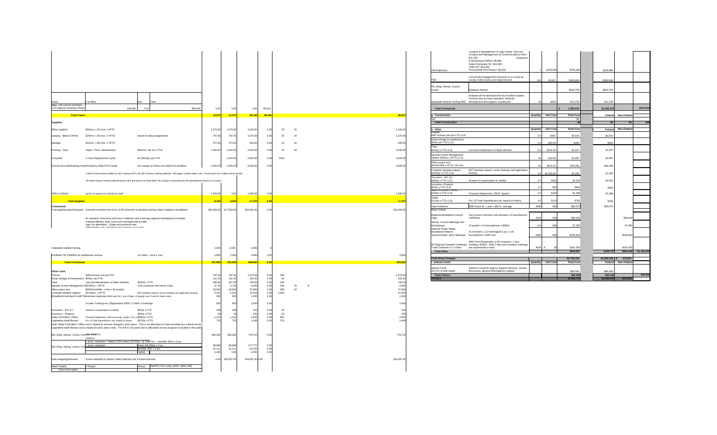| Event<br>Mtgs. 216 council members | # of Miles                                                                                                                                                           | Total<br>Rate               |                                               |          |          |          |          |        |      |    |  |
|------------------------------------|----------------------------------------------------------------------------------------------------------------------------------------------------------------------|-----------------------------|-----------------------------------------------|----------|----------|----------|----------|--------|------|----|--|
| (in 6 regions) meeting 3 times     |                                                                                                                                                                      | 0.51<br>136,080             |                                               | \$69,401 | 0.00     | 0.00     | 0.00     | 69,401 |      |    |  |
| <b>Total Travel</b>                |                                                                                                                                                                      |                             |                                               |          | 16,573   | 12,573   | 29,146   | 69,401 |      |    |  |
| <b>Supplies</b>                    |                                                                                                                                                                      |                             |                                               |          |          |          |          |        |      |    |  |
| office supplies                    | \$50/mo. x 36 mos. x #FTE                                                                                                                                            |                             |                                               |          | 1,575.00 | 1,575.00 | 3,150.00 | 0.00   | 50   | 18 |  |
| copying - Black & White            | \$25/mo. x 36 mos. X #FTE                                                                                                                                            | based on daily usage/rental |                                               |          | 787.50   | 787.50   | 1,575.00 | 0.00   | 25   | 18 |  |
| postage                            | \$15/mo. x 36 mos. X #FTE                                                                                                                                            |                             |                                               |          | 472.50   | 472.50   | 945.00   | 0.00   | 15   | 18 |  |
| Printing - Color                   | Paper, Toner, Maintenance                                                                                                                                            | \$40/mo x 36 mo x FTE       |                                               |          | 1,260.00 | 1,260.00 | 2,520.00 | 0.00   | 40   | 18 |  |
| Computer                           | 4-Year Replacement Cycle                                                                                                                                             | \$1,500/4yrs per FTE        |                                               |          |          | 2,625.00 | 2,625.00 | 0.00   | 1500 |    |  |
|                                    | Formal print jobs/training mate Printing by State Print Center                                                                                                       |                             | Est. based on history see below for breakout. |          | 2,500.00 | 2,500.00 | 5,000.00 | 0.00   |      |    |  |
|                                    | 1,000 tri-fold brochures \$580.00; 600 Training DVD's \$2,100; Printing Training Materials -400 pages, double sided, color, 3-hole punch for multiple events \$2,028 |                             |                                               |          |          |          |          |        |      |    |  |
|                                    | 33 Perfect bound meeting material books-color and black and white \$292; All printing is estimated and the split between phases is not exact.                        |                             |                                               |          |          |          |          |        |      |    |  |

|                                                                                         | Creation & Management of Logic Model = \$54,600<br>Creation and Management of Communications Plan=<br>\$47,250<br>Evaluation<br>& Monitoring of Effort= \$8,880<br>Video Production #1= \$24,000<br>Video #2= \$13,000 |            |                  |                          |                  |                |               |
|-----------------------------------------------------------------------------------------|------------------------------------------------------------------------------------------------------------------------------------------------------------------------------------------------------------------------|------------|------------------|--------------------------|------------------|----------------|---------------|
| <b>UW-Extension</b>                                                                     | Promotional Print Pieces= \$9,254                                                                                                                                                                                      |            | \$156,984        | \$156,984                | \$156,984        |                |               |
| TBD                                                                                     | Community Engagement Outreach on a county by<br>county, multi-county, and regional basis.                                                                                                                              | 100        | \$3,937          | \$393,696                | \$393,696        |                |               |
| RIC (Reg. Interop. Coord.)<br>Grants                                                    | Subgrant Awards                                                                                                                                                                                                        |            |                  | \$820,709                | \$820,709        |                |               |
| Statewide website hosting/TBD                                                           | Website will be developed for the FirstNet initiative.<br>Contract has not been awarded. Website<br>development and support, monthly fee                                                                               | 54         | \$208            | \$11,230                 | \$11,230         |                |               |
| <b>Total Contractual</b>                                                                |                                                                                                                                                                                                                        |            |                  | 1,382,619<br><b>S</b>    | \$1,382,619      |                | \$872,819     |
|                                                                                         |                                                                                                                                                                                                                        |            |                  |                          |                  |                |               |
| g. Construction<br>N/A                                                                  |                                                                                                                                                                                                                        | Quantity   | Unit Cost        | <b>Total Cost</b><br>\$0 | Federal          | Non-Federal    |               |
| <b>Total Construction</b>                                                               |                                                                                                                                                                                                                        |            |                  | \$0                      | \$0              | \$0            | N/A           |
| h. Other                                                                                |                                                                                                                                                                                                                        | Quantity   | <b>Unit Cost</b> | <b>Total Cost</b>        | Federal          | Non-Federal    |               |
| Phones                                                                                  |                                                                                                                                                                                                                        |            |                  |                          |                  |                |               |
| \$367 annual cost per FTE (1.6)<br>Email storage & maintenance<br>\$50/yr per FTE (1.6) |                                                                                                                                                                                                                        | 4.5<br>4.5 | \$367<br>\$50.00 | \$2,642<br>\$360         | \$2,642<br>\$360 |                |               |
| Fleet<br>\$144/yr x FTE (1.6)                                                           | Use and maintenance of State vehicles                                                                                                                                                                                  | 4.5        | \$144.00         | \$1,037                  | \$1,037          |                |               |
| <b>Egrants-Grants Management</b><br>System \$23/mo x #FTE (1.6)                         |                                                                                                                                                                                                                        | 54         | \$23.00          | \$1,987                  | \$1,987          |                |               |
| Office space rent<br>\$515/mo/fte x #FTE x 54 mos.                                      |                                                                                                                                                                                                                        | 54         | \$515.00         | \$44,496                 | \$44,496         |                |               |
| Computer desktop support<br>\$1000/yr x FTE (1.6)                                       | DET desktop support, server backups and application<br>hosting                                                                                                                                                         | 4.5        | \$1,000.00       | \$7,200                  | \$7,200          |                |               |
| Insurance - WC & L<br>\$350/yr x FTE (1.6)                                              | <b>Workers Compensation &amp; Liability</b>                                                                                                                                                                            | 4.5        | \$350            | \$2,520                  | \$2,520          |                |               |
| Insurance- Property<br>\$50/yr x FTE (1.6)<br><b>State Controller's Office</b>          |                                                                                                                                                                                                                        | 4.5        | \$50             | \$360                    | \$360            |                |               |
| \$190/yr x FTE (1.6)                                                                    | Financial Statements, FIRST System                                                                                                                                                                                     | 4.5        | \$190            | \$1,368                  | \$1,368          |                |               |
| <b>OSER</b><br>\$110/yr x FTE (1.6)                                                     | Pct. Of Total Expenditures est. based on history                                                                                                                                                                       | 4.5        | \$110            | \$792                    | \$792            |                |               |
| Data Collection                                                                         | 2685 hours for 1 year x \$35 hr. average                                                                                                                                                                               | 2685       | \$35             | \$93,975                 | \$93,975         |                |               |
| <b>Match Details</b><br>Regional Broadband Council<br>mtgs.                             | 216 Council members will volunteer x 9 hours/person<br>x \$35/hour                                                                                                                                                     | 1944       | \$35             | \$68,040                 |                  | \$68,040       |               |
| Interop. Council Meetings and<br>Workgroups                                             | 15 people x 14 hours/person x \$35/hr.                                                                                                                                                                                 | 210        | \$35             | \$7,350                  |                  | \$7,350        |               |
| National Public Safety<br><b>Broadband Network</b><br>Subcommittee- Qtrly. Meetings     | 15 members x 12 meetings(4.5 yrs.) x 36<br>hours/person x \$35/ hour                                                                                                                                                   | 6480       | \$35             | \$226,800                |                  | \$226,800      |               |
| 60 Regional Outreach meetings/<br>Tribal Outreach to 11 tribes                          | 4600 First Responders in WI reached x 1 hour<br>meeting x \$35/hr. Both Tribal and Outreach meetings<br>are represented in total.                                                                                      | 4600 \$    | 35               | \$161,000                |                  | \$161,000      |               |
| <b>Total Other</b>                                                                      |                                                                                                                                                                                                                        |            |                  | \$619,927                | \$156,737        | \$463,190      | $-$1,181,615$ |
| <b>Total Direct Charges</b>                                                             |                                                                                                                                                                                                                        |            |                  | \$2,783,159              | \$2,209,338      | 573,821<br>- S |               |
| <b>Indirect Costs</b>                                                                   |                                                                                                                                                                                                                        | Quantity   | <b>Unit Cost</b> | <b>Total Cost</b>        | Federal          | Non-Federal    |               |
| <b>Indirect Costs</b><br>20.57% of total salary                                         | Indirect is used for Agency Support Services- Human<br>Resources, general office/agency support                                                                                                                        |            |                  | \$85,595                 | \$85,595         |                |               |
| <b>Total Indirect</b>                                                                   |                                                                                                                                                                                                                        |            |                  | \$85,595                 | \$85,595         |                | \$28,506      |
| <b>TOTALS</b>                                                                           |                                                                                                                                                                                                                        |            |                  | \$2,868,754              | \$2,294,933      | \$573,821      |               |

|                                                                      |                                                                                                                                                                                                                                                                                                                                                                  |                  |                       |                                  |               |            |          |                    | UW-Extension                                                                        | & Monitoring of Effort= \$8,880<br>Video Production #1= \$24,000<br>Video #2= \$13,000<br>Promotional Print Pieces= \$9,254 | \$156,984                 | \$156,984                        | \$156,984                                      |                         |
|----------------------------------------------------------------------|------------------------------------------------------------------------------------------------------------------------------------------------------------------------------------------------------------------------------------------------------------------------------------------------------------------------------------------------------------------|------------------|-----------------------|----------------------------------|---------------|------------|----------|--------------------|-------------------------------------------------------------------------------------|-----------------------------------------------------------------------------------------------------------------------------|---------------------------|----------------------------------|------------------------------------------------|-------------------------|
|                                                                      |                                                                                                                                                                                                                                                                                                                                                                  |                  |                       |                                  |               |            |          |                    |                                                                                     | Community Engagement Outreach on a county by<br>county, multi-county, and regional basis                                    | \$3,937<br>100            | \$393,696                        | \$393,696                                      |                         |
|                                                                      |                                                                                                                                                                                                                                                                                                                                                                  |                  |                       |                                  |               |            |          |                    | RIC (Reg. Interop. Coord.)<br>Grants                                                | <b>Subgrant Awards</b>                                                                                                      |                           | \$820,709                        | \$820,709                                      |                         |
|                                                                      |                                                                                                                                                                                                                                                                                                                                                                  |                  |                       |                                  |               |            |          |                    |                                                                                     | Website will be developed for the FirstNet initiative.<br>Contract has not been awarded. Website                            |                           |                                  |                                                |                         |
| Event<br>Mtgs. 216 council members<br>(in 6 regions) meeting 3 times | $#$ of Miles<br>Total<br><b>Rate</b><br>136,080                                                                                                                                                                                                                                                                                                                  | \$69,401<br>0.00 | 0.00                  | 0.00                             | 69.401        |            |          |                    | <b>Total Contractual</b>                                                            | Statewide website hosting/TBD development and support, monthly fee                                                          | \$208                     | \$11,230<br>1,382,619            | \$11,230<br>\$1,382,619                        | \$872,819               |
| <b>Total Travel</b>                                                  |                                                                                                                                                                                                                                                                                                                                                                  | 16,573           | 12,573                | $\overline{\hspace{.1em}29,146}$ | 69.401        |            |          | 98,547             | . Construction                                                                      |                                                                                                                             | <b>Quantity</b> Unit Cost | <b>Total Cost</b>                | Federal                                        | Non-Federal             |
| <b>Supplies</b>                                                      |                                                                                                                                                                                                                                                                                                                                                                  |                  |                       |                                  |               |            |          |                    | <b>Total Construction</b>                                                           |                                                                                                                             |                           |                                  | <b>\$0</b>                                     | <b>co</b>               |
| office supplies                                                      | \$50/mo. x 36 mos. x #FTE                                                                                                                                                                                                                                                                                                                                        | 1,575.00         | 1,575.00              | 3,150.00                         | 0.00          | 50.        | 18       | 3,150.00           | . Other                                                                             |                                                                                                                             | Quantity Unit Cost        | <b>Total Cost</b>                | Federal Non-Federal                            |                         |
| copying - Black & White                                              | \$25/mo. x 36 mos. X #FTE<br>based on daily usage/rental                                                                                                                                                                                                                                                                                                         | 787.50           | 787.50                | 1,575.00                         | 0.00          |            | 18       | 1,575.00           | Phones.<br>$\frac{1}{367}$ annual cost per FTE (1.6)                                |                                                                                                                             | \$367                     | \$2,642                          | \$2,642                                        |                         |
| postage                                                              | \$15/mo. x 36 mos. X #FTE                                                                                                                                                                                                                                                                                                                                        | 472.50           | 472.50                | 945.00                           | 0.00          | 15         | 18       | 945.00             | Email storage & maintenance<br>\$50/yr per FTE (1.6)                                |                                                                                                                             | \$50.00                   | \$360                            | \$360                                          |                         |
| Printing - Color                                                     | \$40/mo x 36 mo x FTE<br>Paper, Toner, Maintenance                                                                                                                                                                                                                                                                                                               | 1,260.00         | 1,260.00              | 2,520.00                         | 0.00          | 40         | 18       | 2,520.00           | Fleet<br>\$144/yr x FTE (1.6)                                                       | Use and maintenance of State vehicles                                                                                       | \$144.00                  | \$1,037                          | \$1,037                                        |                         |
| Computer                                                             | \$1,500/4yrs per FTE<br>4-Year Replacement Cycle                                                                                                                                                                                                                                                                                                                 |                  | 2,625.00              | 2,625.00                         | 0.00          | 1500       |          | 2,625.00           | Egrants-Grants Management<br>System \$23/mo x #FTE (1.6)                            |                                                                                                                             | \$23.00                   | \$1,987                          | \$1,987                                        |                         |
|                                                                      | Formal print jobs/training mate Printing by State Print Center<br>Est. based on history see below for breakout.                                                                                                                                                                                                                                                  | 2,500.00         | 2,500.00              | 5,000.00                         | 0.00          |            |          | 5,000.00           | Office space rent<br>\$515/mo/fte x #FTE x 54 mos.                                  |                                                                                                                             | \$515.00<br>-54           | \$44,496                         | \$44,496                                       |                         |
|                                                                      | 1,000 tri-fold brochures \$580.00; 600 Training DVD's \$2,100; Printing Training Materials -400 pages, double sided, color, 3-hole punch for multiple events \$2,028                                                                                                                                                                                             |                  |                       |                                  |               |            |          |                    | Computer desktop support<br>$$1000/yr \times FTE (1.6)$                             | DET desktop support, server backups and application  <br>hosting                                                            | $4.5$ \$1,000.00          | \$7,200                          | \$7,200                                        |                         |
|                                                                      | 33 Perfect bound meeting material books-color and black and white \$292; All printing is estimated and the split between phases is not exact.                                                                                                                                                                                                                    |                  |                       |                                  |               |            |          |                    | Insurance - WC & L<br>$$350/yr \times FTE (1.6)$                                    | <b>Workers Compensation &amp; Liability</b>                                                                                 | \$350                     | \$2,520                          | \$2,520                                        |                         |
|                                                                      |                                                                                                                                                                                                                                                                                                                                                                  |                  |                       |                                  |               |            |          |                    | Insurance- Property<br>$$50/yr \times FTE (1.6)$                                    |                                                                                                                             |                           | \$360                            | \$360                                          |                         |
| <b>Office Cubicles</b>                                               | portion of expense of cubicles for statff                                                                                                                                                                                                                                                                                                                        | 1,555.00         | 0.00                  | 1,555.00                         | 0.00          |            |          | 1,555.00           | State Controller's Office<br>\$190/yr x FTE (1.6)                                   | Financial Statements, FIRST System                                                                                          | \$190                     | \$1,368                          | \$1,368                                        |                         |
| <b>Total Supplies</b>                                                |                                                                                                                                                                                                                                                                                                                                                                  | 8,150            | 9,220                 | 17,370                           |               |            |          | 17,370             | <b>OSER</b><br>$$110/yr \times FTE (1.6)$                                           | Pct. Of Total Expenditures est. based on history                                                                            | \$110                     | \$792                            | \$792                                          |                         |
| Contractual                                                          |                                                                                                                                                                                                                                                                                                                                                                  |                  |                       |                                  |               |            |          |                    | Data Collection                                                                     | 2685 hours for 1 year x \$35 hr. average                                                                                    | 2685                      | \$93,975                         | \$93,975                                       |                         |
|                                                                      | Training/Education/Outreach Estimate received from Univ. of WI Extension to develop training videos related to broadband                                                                                                                                                                                                                                         |                  | 282,500.00 217,500.00 | 500,000.00                       | 0.00          |            |          | 500,000.00         | <b>Match Details</b><br>Regional Broadband Council                                  | 216 Council members will volunteer x 9 hours/person                                                                         |                           |                                  |                                                |                         |
|                                                                      | for outreach, brochures and host 3 webinars and 4 two-day regional trainings(cost includes<br>material delivery, prep, lunch and overnight stay at state                                                                                                                                                                                                         |                  |                       |                                  |               |            |          |                    | Interop. Council Meetings and                                                       | x \$35/hour                                                                                                                 | 1944<br>\$35              | \$68,040                         |                                                | \$68,040                |
|                                                                      | rates for attendees). (State procurement rules<br>alifferentiates ouk realplants and contrasts on to who                                                                                                                                                                                                                                                         |                  |                       |                                  |               |            |          |                    | Workgroups<br>National Public Safety                                                | 15 people x 14 hours/person x \$35/hr.                                                                                      | 210                       | \$7,350                          |                                                | \$7,350                 |
|                                                                      |                                                                                                                                                                                                                                                                                                                                                                  |                  |                       |                                  |               |            |          |                    | <b>Broadband Network</b><br>Subcommittee- Qtrly. Meetings hours/person x \$35/ hour | 15 members x 12 meetings(4.5 yrs.) x 36                                                                                     | 6480                      | \$226,800                        |                                                | \$226,800               |
|                                                                      |                                                                                                                                                                                                                                                                                                                                                                  |                  |                       |                                  |               |            |          |                    |                                                                                     | 4600 First Responders in WI reached x 1 hour                                                                                |                           |                                  |                                                |                         |
| Statewide website hosting                                            |                                                                                                                                                                                                                                                                                                                                                                  | 2,500            | 2,500                 | 5,000                            |               |            |          |                    | Tribal Outreach to 11 tribes are represented in total.                              | 60 Regional Outreach meetings/ meeting x \$35/hr. Both Tribal and Outreach meetings                                         | 4600 \$                   | \$161,000                        |                                                | \$161,000               |
| Facilitator for PSWBW as nee faciliate meetings                      | Est. \$50/hr. x 96 hrs. prep.                                                                                                                                                                                                                                                                                                                                    | 2,800            | 2,000                 | 4,800                            | 0.00          |            |          | 4,800              | <b>Total Other</b>                                                                  |                                                                                                                             |                           | \$619,927                        | \$156,737                                      | $$463,190$ -\$1,181,615 |
| <b>Total Contractual</b>                                             |                                                                                                                                                                                                                                                                                                                                                                  | 287,800          | 222,000               | 509,800                          |               |            |          | 509,800            | <b>Total Direct Charges</b><br>. Indirect Costs                                     |                                                                                                                             | Quantity Unit Cost        | \$2,783,159<br><b>Total Cost</b> | $$2,209,338$ $$573,821$<br>Federal Non-Federal |                         |
| Other costs                                                          |                                                                                                                                                                                                                                                                                                                                                                  |                  |                       |                                  |               |            |          |                    | Indirect Costs<br>20.57% of total salary                                            | Indirect is used for Agency Support Services- Human<br>Resources, general office/agency support                             |                           | \$85,595                         | \$85,595                                       |                         |
| Phones<br>Email storage & maintenance \$50/yr. per FTE               | \$300 annual cost per FTE                                                                                                                                                                                                                                                                                                                                        | 787.50<br>131.25 | 787.50<br>131.25      | 1,575.00<br>262.50               | 0.00<br>0.00  | 300        |          | 1,575.00<br>262.50 | <b>Total Indirect</b><br><b>TOTALS</b>                                              |                                                                                                                             |                           | \$85,595<br>\$2,868,75           | \$85,595<br>\$2,294,933                        | \$28,506<br>\$573,821   |
| Fleet                                                                | \$144/yr x FTE<br>Use and Maintenance of State Vehicles                                                                                                                                                                                                                                                                                                          | 368.00           | 3670<br>יט. וטט       | 735.00                           |               | $111$      |          | 735.00             |                                                                                     |                                                                                                                             |                           |                                  |                                                |                         |
| Egrants-Grants Management \$\$150/mo. x #FTE                         | OJA contractor and server costs<br>\$600/month/fte. $x \#$ fte x 36 months                                                                                                                                                                                                                                                                                       | 4,725            | 4,725<br>18,900       | 9,450<br>37,800                  | 0.00<br>0.00  | 150<br>600 | 18<br>18 | 9,450              |                                                                                     |                                                                                                                             |                           |                                  |                                                |                         |
| office space rent<br>computer desktop support                        | \$2,000/yr. x #FTE<br>DET desktop support, server backups and application hosting                                                                                                                                                                                                                                                                                | 18,900<br>5,250  | 5,250                 | 10,500                           | 0.00          | 2,000      |          | 37,800<br>10,500   |                                                                                     |                                                                                                                             |                           |                                  |                                                |                         |
|                                                                      | Broadband training for staff-TE Estimated registration \$250 each for 2 out of state x 2 people (see Travel for other costs)                                                                                                                                                                                                                                     |                  |                       | 1.000                            | 0.00          |            |          | 1,000              |                                                                                     |                                                                                                                             |                           |                                  |                                                |                         |
|                                                                      | In-state Training-est. (Registration \$250) *2 staff x 2 trainings                                                                                                                                                                                                                                                                                               | 500              | 500                   | 1,000                            | 0.00          |            |          | 1,000              |                                                                                     |                                                                                                                             |                           |                                  |                                                |                         |
| Insurance - WC & L<br>Insurance - Property                           | \$60/yr x FTE<br><b>Workers Compensation &amp; Liability</b><br>\$20/yr x FTE                                                                                                                                                                                                                                                                                    |                  |                       |                                  | 0.00 <br>0.00 |            |          | 105                |                                                                                     |                                                                                                                             |                           |                                  |                                                |                         |
| <b>State Controller's Office</b>                                     | Financial Statements, Wismart-acctg. system, Fin. ov \$500/yr x FTE                                                                                                                                                                                                                                                                                              | 1,313            | 1,313                 | 2,625                            | 0.00          | 500        |          | 2,625              |                                                                                     |                                                                                                                             |                           |                                  |                                                |                         |
| Legislative Audit Bureau                                             | Pct. of Total Expenditures, est. based on history \$276/yr x FTE<br>Note: State Controller's Office cost is based on amount charged in prior years. This is an allocation of costs provided by a central service.<br>Legislative Audit Bureau cost is based on prior years costs. The full A-133 audit cost is alllocated across programs included in the audit. |                  |                       | 1.449                            | 0.00          | 276        |          | 1,449              |                                                                                     |                                                                                                                             |                           |                                  |                                                |                         |
| RIC (Reg. Interop. Coord.) GraSEE SHEET 3:                           | 510354.5                                                                                                                                                                                                                                                                                                                                                         | 389,355          | 389,355               | 778,710                          | 0.00          |            |          | 778,710            |                                                                                     |                                                                                                                             |                           |                                  |                                                |                         |
|                                                                      | 1 temp. employee + laptop 2,000 (salary 59,259/yr. @ 2080 hrs. + benefits 35%) x 3 yrs.                                                                                                                                                                                                                                                                          |                  |                       | 177,777                          |               |            |          |                    |                                                                                     |                                                                                                                             |                           |                                  |                                                |                         |
| RIC (Reg. Interop. Coord.) Gra-                                      | Salary 59,259/yr x 3 yrs<br>1 temp. employee<br>Benefits 35% x 3 yrs                                                                                                                                                                                                                                                                                             | 88,889<br>31,111 | 88,889<br>31,111      | 62,222                           | 0.00<br>0.00  |            |          |                    |                                                                                     |                                                                                                                             |                           |                                  |                                                |                         |
|                                                                      | Laptop                                                                                                                                                                                                                                                                                                                                                           | 2,000            |                       | 2,000                            | 0.00          |            |          |                    |                                                                                     |                                                                                                                             |                           |                                  |                                                |                         |
| Data mapping/networks                                                | Funds setaside for phase II data collection per Firstnet direction                                                                                                                                                                                                                                                                                               | 0.00             | 209,597.00            | 209,597.00 0.00                  |               |            |          | 209,597.00         |                                                                                     |                                                                                                                             |                           |                                  |                                                |                         |
| <b>Match Details</b>                                                 | #Hours Rate/Per Hour (avg. public safety rate)<br># People                                                                                                                                                                                                                                                                                                       |                  |                       |                                  |               |            |          |                    |                                                                                     |                                                                                                                             |                           |                                  |                                                |                         |

| Event                                                          | # of Miles                                                                                                                                                                                                  | Total<br>Rate                                                                                                                                                                                                                                                                                |                  |                  |                    |              |            |    |              |                    |
|----------------------------------------------------------------|-------------------------------------------------------------------------------------------------------------------------------------------------------------------------------------------------------------|----------------------------------------------------------------------------------------------------------------------------------------------------------------------------------------------------------------------------------------------------------------------------------------------|------------------|------------------|--------------------|--------------|------------|----|--------------|--------------------|
| Mtgs. 216 council members<br>(in 6 regions) meeting 3 times    | 136,080                                                                                                                                                                                                     | 0.51<br>\$69,401                                                                                                                                                                                                                                                                             | 0.00             | 0.00             | 0.00               | 69,401       |            |    |              |                    |
| <b>Total Travel</b>                                            |                                                                                                                                                                                                             |                                                                                                                                                                                                                                                                                              | 16,573           | 12,573           | 29,146             | 69,401       |            |    |              | 98,547             |
| <b>Supplies</b>                                                |                                                                                                                                                                                                             |                                                                                                                                                                                                                                                                                              |                  |                  |                    |              |            |    |              |                    |
| office supplies                                                | \$50/mo. x 36 mos. x #FTE                                                                                                                                                                                   |                                                                                                                                                                                                                                                                                              | 1,575.00         | 1,575.00         | 3,150.00           | 0.00         | 50         | 18 |              | 3,150.00           |
| copying - Black & White                                        | \$25/mo. x 36 mos. X #FTE                                                                                                                                                                                   | based on daily usage/rental                                                                                                                                                                                                                                                                  | 787.50           | 787.50           | 1,575.00           | 0.00         | 25         | 18 |              | 1,575.00           |
| postage                                                        | \$15/mo. x 36 mos. X #FTE                                                                                                                                                                                   |                                                                                                                                                                                                                                                                                              | 472.50           | 472.50           | 945.00             | 0.00         | 15         | 18 |              | 945.00             |
| Printing - Color                                               | Paper, Toner, Maintenance                                                                                                                                                                                   | \$40/mo x 36 mo x FTE                                                                                                                                                                                                                                                                        | 1,260.00         | 1,260.00         | 2,520.00           | 0.00         | 40         | 18 |              | 2,520.00           |
| Computer                                                       | 4-Year Replacement Cycle                                                                                                                                                                                    | \$1,500/4yrs per FTE                                                                                                                                                                                                                                                                         |                  | 2,625.00         | 2,625.00           | 0.00         | 1500       |    |              | 2,625.00           |
| Formal print jobs/training mate Printing by State Print Center |                                                                                                                                                                                                             | Est. based on history see below for breakout.                                                                                                                                                                                                                                                | 2,500.00         | 2,500.00         | 5,000.00           | 0.00         |            |    |              | 5,000.00           |
|                                                                |                                                                                                                                                                                                             | 1,000 tri-fold brochures \$580.00; 600 Training DVD's \$2,100; Printing Training Materials -400 pages, double sided, color, 3-hole punch for multiple events \$2,028                                                                                                                         |                  |                  |                    |              |            |    |              |                    |
|                                                                |                                                                                                                                                                                                             |                                                                                                                                                                                                                                                                                              |                  |                  |                    |              |            |    |              |                    |
|                                                                |                                                                                                                                                                                                             | 33 Perfect bound meeting material books-color and black and white \$292; All printing is estimated and the split between phases is not exact.                                                                                                                                                |                  |                  |                    |              |            |    |              |                    |
| <b>Office Cubicles</b>                                         | portion of expense of cubicles for statff                                                                                                                                                                   |                                                                                                                                                                                                                                                                                              | 1,555.00         | 0.00             | 1,555.00           | 0.00         |            |    |              | 1,555.00           |
| <b>Total Supplies</b>                                          |                                                                                                                                                                                                             |                                                                                                                                                                                                                                                                                              | 8,150            | 9,220            | 17,370             | 0.00         |            |    |              | 17,370             |
| <b>Contractual</b>                                             |                                                                                                                                                                                                             |                                                                                                                                                                                                                                                                                              |                  |                  |                    |              |            |    |              |                    |
|                                                                | Training/Education/Outreach Estimate received from Univ. of WI Extension to develop training videos related to broadband                                                                                    |                                                                                                                                                                                                                                                                                              | 282,500.00       | 217,500.00       | 500,000.00         | 0.00         |            |    |              | 500,000.00         |
|                                                                | for outreach, brochures and host 3 webinars and 4 two-day regional trainings (cost includes<br>material delivery, prep, lunch and overnight stay at state<br>rates for attendees). (State procurement rules |                                                                                                                                                                                                                                                                                              |                  |                  |                    |              |            |    |              |                    |
|                                                                | differentiates out reainiants and contracts on to who                                                                                                                                                       |                                                                                                                                                                                                                                                                                              |                  |                  |                    |              |            |    |              |                    |
|                                                                |                                                                                                                                                                                                             |                                                                                                                                                                                                                                                                                              |                  |                  |                    |              |            |    |              |                    |
|                                                                |                                                                                                                                                                                                             |                                                                                                                                                                                                                                                                                              |                  |                  |                    |              |            |    |              |                    |
| Statewide website hosting                                      |                                                                                                                                                                                                             |                                                                                                                                                                                                                                                                                              | 2,500            | 2,500            | 5,000              |              |            |    |              |                    |
| Facilitator for PSWBW as nee faciliate meetings                |                                                                                                                                                                                                             | Est. \$50/hr. x 96 hrs. prep.                                                                                                                                                                                                                                                                | 2,800            | 2,000            | 4,800              | 0.00         |            |    |              | 4,800              |
| <b>Total Contractual</b>                                       |                                                                                                                                                                                                             |                                                                                                                                                                                                                                                                                              | 287,800          | 222,000          | 509,800            | 0.00         |            |    |              | 509,800            |
| Other costs                                                    |                                                                                                                                                                                                             |                                                                                                                                                                                                                                                                                              |                  |                  |                    |              |            |    |              |                    |
| Phones<br>Email storage & maintenance \$50/yr. per FTE         | \$300 annual cost per FTE                                                                                                                                                                                   |                                                                                                                                                                                                                                                                                              | 787.50<br>131.25 | 787.50<br>131.25 | 1,575.00<br>262.50 | 0.00<br>0.00 | 300<br>50  |    |              | 1,575.00<br>262.50 |
| Fleet<br>Egrants-Grants Management \$\$150/mo. x #FTE          | Use and Maintenance of State Vehicles                                                                                                                                                                       | \$144/yr x FTE<br>OJA contractor and server costs                                                                                                                                                                                                                                            | 368.00<br>4,725  | 367.00<br>4,725  | 735.00<br>9,450    | 0.00<br>0.00 | 144<br>150 | 18 | $\mathbf{2}$ | 735.00<br>9,450    |
| office space rent                                              | \$600/month/fte. $x \#$ fte x 36 months                                                                                                                                                                     |                                                                                                                                                                                                                                                                                              | 18,900           | 18,900           | 37,800             | 0.00         | 600        | 18 |              | 37,800             |
| computer desktop support                                       | \$2,000/yr. x #FTE<br>Broadband training for staff-TE Estimated registration \$250 each for 2 out of state x 2 people (see Travel for other costs)                                                          | DET desktop support, server backups and application hosting                                                                                                                                                                                                                                  | 5,250<br>500     | 5,250<br>500     | 10,500<br>1,000    | 0.00<br>0.00 | 2,000      |    |              | 10,500<br>1,000    |
|                                                                | In-state Training-est. (Registration \$250) *2 staff x 2 trainings                                                                                                                                          |                                                                                                                                                                                                                                                                                              | 500              | 500              | 1,000              | 0.00         |            |    |              | 1,000              |
| Insurance - WC & L                                             | <b>Workers Compensation &amp; Liability</b>                                                                                                                                                                 | \$60/yr x FTE                                                                                                                                                                                                                                                                                | 158              | 158              | 315                | 0.00         | 60         |    |              | 315                |
| Insurance - Property<br><b>State Controller's Office</b>       | Financial Statements, Wismart-acctg. system, Fin. ov \$500/yr x FTE                                                                                                                                         | \$20/yr x FTE                                                                                                                                                                                                                                                                                | 53<br>1,313      | 53<br>1,313      | 105<br>2,625       | 0.00<br>0.00 | 20<br>500  |    |              | 105<br>2,625       |
| Legislative Audit Bureau                                       | Pct. of Total Expenditures, est. based on history                                                                                                                                                           | \$276/yr x FTE                                                                                                                                                                                                                                                                               | 725              | 725              | 1,449              | 0.00         | 276        |    |              | 1,449              |
|                                                                |                                                                                                                                                                                                             | Note: State Controller's Office cost is based on amount charged in prior years. This is an allocation of costs provided by a central service.<br>Legislative Audit Bureau cost is based on prior years costs. The full A-133 audit cost is alllocated across programs included in the audit. |                  |                  |                    |              |            |    |              |                    |
| RIC (Reg. Interop. Coord.) GraSEE SHEET 3:                     |                                                                                                                                                                                                             |                                                                                                                                                                                                                                                                                              | 389,355          | 389,355          | 778,710            | 0.00         |            |    |              | 778,710            |
|                                                                | 510354.5<br>1 temp. employee + laptop 2,000 (salary 59,259/yr. @ 2080 hrs. + benefits 35%) x 3 yrs.                                                                                                         |                                                                                                                                                                                                                                                                                              |                  |                  |                    |              |            |    |              |                    |
| RIC (Reg. Interop. Coord.) Gra                                 | 1 temp. employee                                                                                                                                                                                            | Salary 59,259/yr x 3 yrs<br>Benefits 35% x 3 yrs                                                                                                                                                                                                                                             | 88,889<br>31,111 | 88,889<br>31,111 | 177,777<br>62,222  | 0.00<br>0.00 |            |    |              |                    |
|                                                                |                                                                                                                                                                                                             | Laptop                                                                                                                                                                                                                                                                                       | 2,000            | 0.00             | 2,000              | 0.00         |            |    |              |                    |
| Data mapping/networks                                          | Funds setaside for phase II data collection per Firstnet direction                                                                                                                                          |                                                                                                                                                                                                                                                                                              | 0.00             | 209,597.00       | 209,597.00 0.00    |              |            |    |              | 209,597.00         |
| <b>Match Details</b>                                           | # People                                                                                                                                                                                                    | Rate/Per Hour (avg. public safety rate)<br>#Hours                                                                                                                                                                                                                                            |                  |                  |                    |              |            |    |              |                    |
| <b>Event Description</b>                                       |                                                                                                                                                                                                             |                                                                                                                                                                                                                                                                                              |                  |                  |                    |              |            |    |              |                    |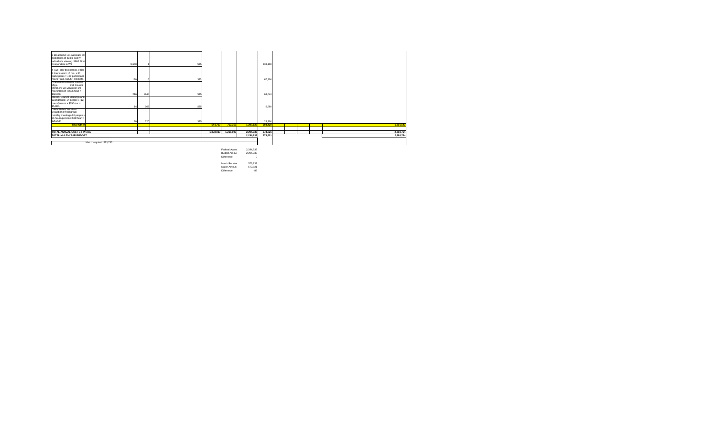|                                                               |       |        |           | Federal Award | 2,294,933 |         |  |  |           |
|---------------------------------------------------------------|-------|--------|-----------|---------------|-----------|---------|--|--|-----------|
| Match required: 573,733                                       |       |        |           |               |           |         |  |  |           |
|                                                               |       |        |           |               |           |         |  |  |           |
| TOTAL MULTI-YEAR BUDGET                                       |       |        |           |               | 2,294,933 | 573,821 |  |  | 2,868,754 |
| <b>TOTAL ANNUAL COST BY PHASE</b>                             |       |        | 1,078,033 | 1,216,899     | 2,294,933 | 573,821 |  |  | 2,868,754 |
| <b>Total Other</b>                                            |       |        | 544,763   | 752,359       | 1,297,122 | 504,420 |  |  | 1,801,542 |
| \$25,200.                                                     | 20    | 720    | \$35      |               |           | 25,200  |  |  |           |
| 36 hours/person x \$35/hour =                                 |       |        |           |               |           |         |  |  |           |
| monthly meetings-20 people x                                  |       |        |           |               |           |         |  |  |           |
| Broadband Workgroup-                                          |       |        |           |               |           |         |  |  |           |
| Public Safety Wireless                                        |       |        |           |               |           |         |  |  |           |
| \$5,880.                                                      | 14    | 168    | \$35      |               |           | 5,880   |  |  |           |
| hours/person $x$ \$35/hour =                                  |       |        |           |               |           |         |  |  |           |
| Workgroups; 14 people x [12]                                  |       |        |           |               |           |         |  |  |           |
| Interop. Council Meetings and                                 |       |        |           |               |           |         |  |  |           |
| \$68,040.                                                     | 216   | 1944   | \$35      |               |           | 68,040  |  |  |           |
| hours/person $x $35/hour =$                                   |       |        |           |               |           |         |  |  |           |
| Members will volunteer x 9                                    |       |        |           |               |           |         |  |  |           |
| 216 Council<br>Mtgs.-                                         |       |        |           |               |           |         |  |  |           |
| hours * avg. \$35/hr. estimate.<br>Regional Broadband Council | 120   | - 16 I | \$35      |               |           | 67,200  |  |  |           |
| participants = 480 participant                                |       |        |           |               |           |         |  |  |           |
| 8 hours total = $16$ hrs. $\times 30$                         |       |        |           |               |           |         |  |  |           |
| 4 Two--day bootcamps, each                                    |       |        |           |               |           |         |  |  |           |
|                                                               |       |        |           |               |           |         |  |  |           |
| Responders in WI                                              | 9,660 |        | \$35      |               |           | 338,100 |  |  |           |
| individuals viewing. 9660 First                               |       |        |           |               |           |         |  |  |           |
| disciplines of public safety                                  |       |        |           |               |           |         |  |  |           |
| 3 Broadband 101 webinars all                                  |       |        |           |               |           |         |  |  |           |

Budget Amour 2,294,933 Difference 0

Match Require 573,733 Match Amount 573,821<br>Difference 573,821 Difference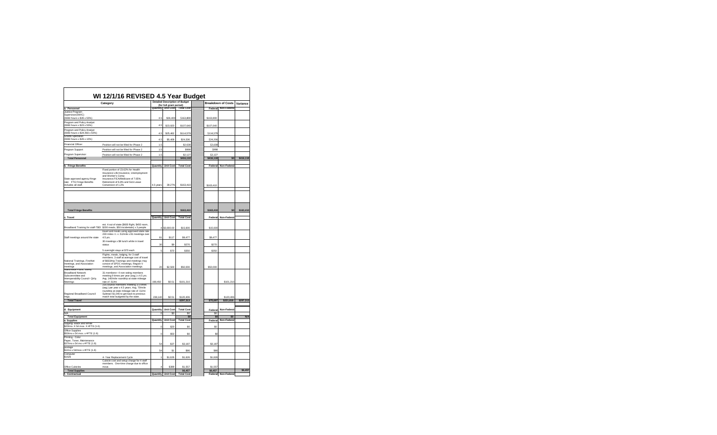|                                                                                                                                      | WI 12/1/16 REVISED 4.5 Year Budget                                                                                                                                                                           |                 | <b>Detailed Description of Budget</b> |                          |                       | <b>Breakdown of Costs</b> |                 |  |
|--------------------------------------------------------------------------------------------------------------------------------------|--------------------------------------------------------------------------------------------------------------------------------------------------------------------------------------------------------------|-----------------|---------------------------------------|--------------------------|-----------------------|---------------------------|-----------------|--|
|                                                                                                                                      | Category                                                                                                                                                                                                     |                 | (for full grant period)               |                          |                       | <b>Non-Federal</b>        | <b>Variance</b> |  |
| a. Personnel<br>Justice Program                                                                                                      |                                                                                                                                                                                                              | Quantity        | Unit Cost                             | <b>Total Cost</b>        | Federal               |                           |                 |  |
| Supervisor(SWIC)<br>(9360 hours x \$35 x 50%)                                                                                        |                                                                                                                                                                                                              | 4.5             | \$36,400                              | \$163,800                | \$163,800             |                           |                 |  |
| <b>Program and Policy Analyst</b><br>$(9360$ hours x \$23 x 50%)                                                                     |                                                                                                                                                                                                              | 4.5             | \$23,920                              | \$107,640                | \$107,640             |                           |                 |  |
| Program and Policy Analyst<br>$(9360$ hours x \$24.483 x 50%)<br><b>Grants Specialist</b>                                            |                                                                                                                                                                                                              | 4.5             | \$25,462                              | \$114,579                | \$114,579             |                           |                 |  |
| (9360 hours x \$26 x 10%)                                                                                                            |                                                                                                                                                                                                              | 4.5             | \$5,408                               | \$24,336                 | \$24,336              |                           |                 |  |
| <b>Financial Officer</b>                                                                                                             | Position will not be filled for Phase 2                                                                                                                                                                      | 1.5             |                                       | \$2,638                  | \$2,638               |                           |                 |  |
| Program Support                                                                                                                      | Position will not be filled for Phase 2                                                                                                                                                                      | 1.5             |                                       | \$998                    | \$998                 |                           |                 |  |
| Program Supervisor                                                                                                                   | Position will not be filled for Phase 2                                                                                                                                                                      | 1.5             |                                       | \$2,127                  | \$2,127               |                           |                 |  |
| <b>Total Personnel</b>                                                                                                               |                                                                                                                                                                                                              |                 |                                       | \$416,118                | \$416,118             | \$0                       | \$416,118       |  |
| b. Fringe Benefits                                                                                                                   |                                                                                                                                                                                                              | <b>Quantity</b> | <b>Unit Cost</b>                      | <b>Total Cost</b>        | Federal               | <b>Non-Federal</b>        |                 |  |
| State approved agency fringe<br>rate: FTE Fringe Benefits<br>includes all staff.                                                     | Fixed portion of 23.62% for Health<br>Insurance Life Insurance, Unemployment<br>and Worker's Comp<br>Insurance.FICA/Medicare of 7.65%.<br>Retirement of 6.8% and Sick Leave<br>Conversion of 1.2%            | 4.5 years       | 39.27%                                | \$163,410                | \$163,410             |                           |                 |  |
| <b>Total Fringe Benefits</b>                                                                                                         |                                                                                                                                                                                                              |                 |                                       | \$163,410                | \$163,410             | \$0                       | \$163,410       |  |
| c. Travel                                                                                                                            |                                                                                                                                                                                                              | Quantity        | <b>Unit Cost</b>                      | <b>Total Cost</b>        | Federall              | <b>Non-Federal</b>        |                 |  |
|                                                                                                                                      | est. 4 out of state (\$600 flight, \$450 room,<br>Broadband Training for staff-TBD \$200 meals, \$50 incidentals) x 3 people<br>travel and meals using approved state rate.                                  |                 | $4$ \$3,900.00                        | \$15,600                 | \$15,600              |                           |                 |  |
| Staff meetings around the state<br>National Trainings, FirstNet<br>meetings, and Association<br>meetings<br>Nationwide Public Safety | 230 miles r.t. x .51/mile x 81 meetings over<br>4.5 yrs.                                                                                                                                                     | 81              | \$117                                 | \$9,477                  | \$9,477               |                           |                 |  |
|                                                                                                                                      | 30 meetings x \$9 lunch while in travel<br>status                                                                                                                                                            | 30              | \$9                                   | \$270                    | \$270                 |                           |                 |  |
|                                                                                                                                      | 5 overnight stays at \$70 each                                                                                                                                                                               | 5               | \$70                                  | \$350                    | \$350                 |                           |                 |  |
|                                                                                                                                      | Flights, meals, lodging, for 3 staff<br>members. 3 staff at average cost of travel<br>of \$833/trip. Trainings and meetings may<br>consist of SPOC meetings, Region V<br>meetings, and Association meetings. | 20              | \$2,500                               | \$50,000                 | \$50,000              |                           |                 |  |
| <b>Broadband Network</b><br>Subcommittee and<br>Interoperability Council- Qtrly.<br>Meetings                                         | 31 members+ 4 non-voting members<br>meeting 9 times per year (avg.) x 4.5 yrs.<br>Avg. 140/mile roundtrip at state mileage<br>rate of .51/mi<br>216 council members meeting 3.5 times                        | 198,450         | \$0.51                                | \$101,210                |                       | \$101,210                 |                 |  |
| Regional Broadband Council<br>mtgs.<br><b>Total Travel</b>                                                                           | (avg.) per year x 4.5 years. Avg. 70/mile<br>roundtrip at state mileage rate of .51/mi<br>Subtract \$1,045 to get back to previous<br>match total budgeted by the state.                                     | 238,140         | \$0.51                                | \$120,406<br>\$297,313   | \$75,697              | \$120,406<br>\$221,616    | \$297,313       |  |
| d. Equipment                                                                                                                         |                                                                                                                                                                                                              | <b>Quantity</b> | <b>Unit Cost</b>                      | <b>Total Cost</b>        | Federal               | <b>Non-Federal</b>        |                 |  |
| N/A                                                                                                                                  |                                                                                                                                                                                                              | 01              | \$0                                   | \$0                      | \$0                   |                           |                 |  |
| <b>Total Equipment</b><br>e. Supplies                                                                                                |                                                                                                                                                                                                              | <b>Quantity</b> | <b>Unit Cost</b>                      | \$0<br><b>Total Cost</b> | \$0<br><b>Federal</b> | \$0<br><b>Non-Federal</b> | N/A             |  |
| copying- Black and White<br>\$20/mo. X 54 mos. X #FTE (1.6)                                                                          |                                                                                                                                                                                                              | 0               | \$20                                  | \$0                      | \$0                   |                           |                 |  |
| <b>Office Supplies</b><br>\$50/mo x 54 mos. x #FTE (1.6)                                                                             |                                                                                                                                                                                                              | 0               | \$50                                  | \$0                      | \$0                   |                           |                 |  |
| Printing - Color<br>Paper, Toner, Maintenance                                                                                        |                                                                                                                                                                                                              |                 |                                       |                          |                       |                           |                 |  |
| \$37/mo x 54 mo x #FTE (1.6)<br>postage                                                                                              |                                                                                                                                                                                                              | 54              | \$37                                  | \$3,187                  | \$3,187               |                           |                 |  |
| \$1/mo x 54/mos x #FTE (1.6)<br>Computer                                                                                             |                                                                                                                                                                                                              | 54              | \$1                                   | \$86                     | \$86                  |                           |                 |  |
| \$1626                                                                                                                               | 4- Year Replacement Cycle<br>Cubicle cost and setup charge for 4 staff<br>members. One-time charge due to office                                                                                             |                 | \$1,626                               | \$1,626                  | \$1,626               |                           |                 |  |
| <b>Office Cubicles</b><br><b>Total Supplies</b>                                                                                      | move.                                                                                                                                                                                                        | 4               | \$389                                 | \$1,557<br>\$6,457       | \$1,557<br>\$6,457    |                           | \$6,457         |  |
| Contractual                                                                                                                          |                                                                                                                                                                                                              | Quantity        | <b>Unit Cost</b>                      | <b>Total Cost</b>        | Federal               | <b>Non-Federal</b>        |                 |  |